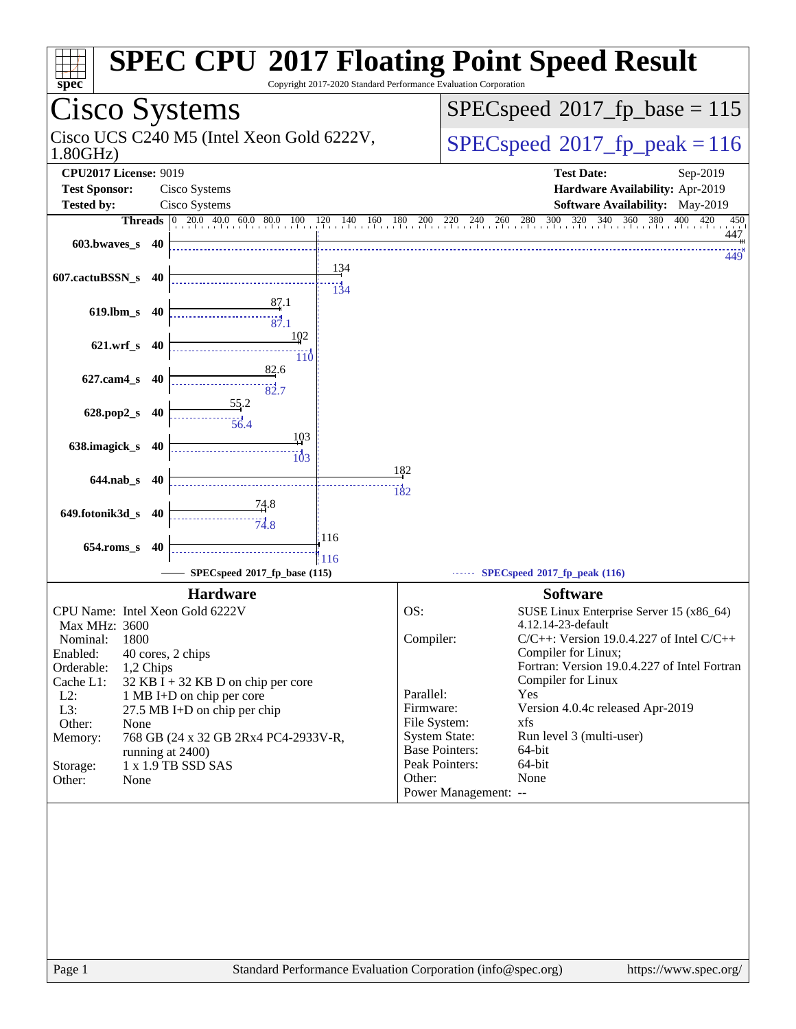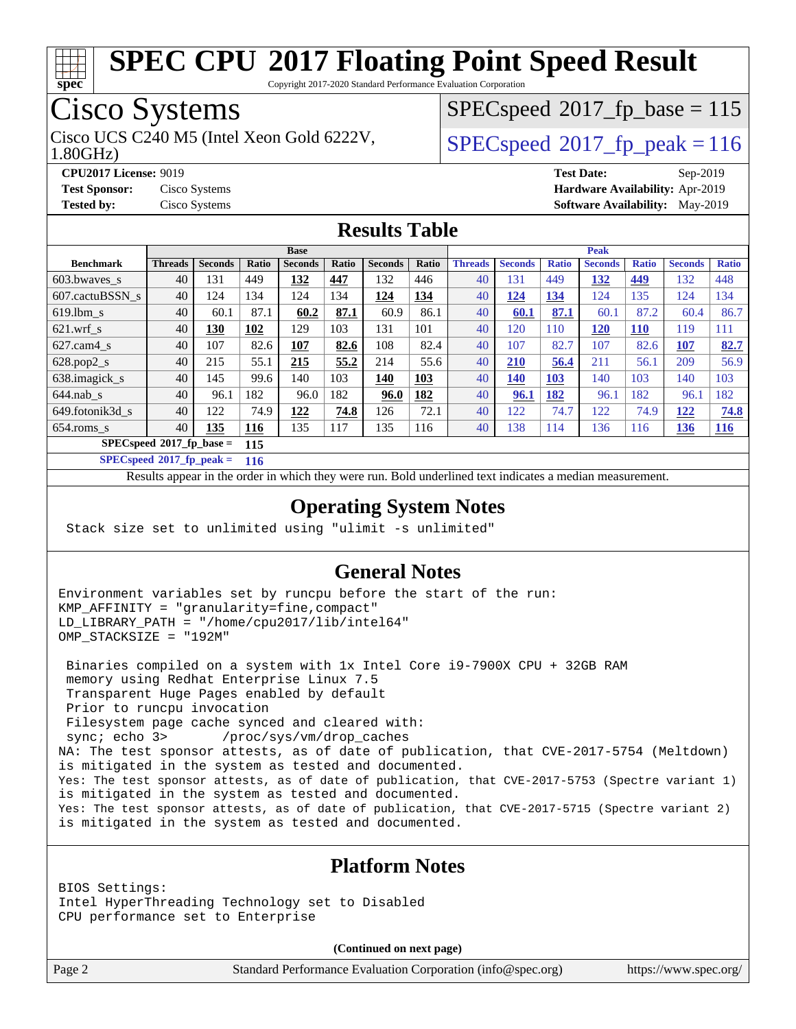

Copyright 2017-2020 Standard Performance Evaluation Corporation

# Cisco Systems

1.80GHz) Cisco UCS C240 M5 (Intel Xeon Gold 6222V,  $\vert$  [SPECspeed](http://www.spec.org/auto/cpu2017/Docs/result-fields.html#SPECspeed2017fppeak)<sup>®</sup>2017 fp\_peak = 116

[SPECspeed](http://www.spec.org/auto/cpu2017/Docs/result-fields.html#SPECspeed2017fpbase)<sup>®</sup>2017 fp base = 115

**[CPU2017 License:](http://www.spec.org/auto/cpu2017/Docs/result-fields.html#CPU2017License)** 9019 **[Test Date:](http://www.spec.org/auto/cpu2017/Docs/result-fields.html#TestDate)** Sep-2019 **[Test Sponsor:](http://www.spec.org/auto/cpu2017/Docs/result-fields.html#TestSponsor)** Cisco Systems **[Hardware Availability:](http://www.spec.org/auto/cpu2017/Docs/result-fields.html#HardwareAvailability)** Apr-2019 **[Tested by:](http://www.spec.org/auto/cpu2017/Docs/result-fields.html#Testedby)** Cisco Systems **[Software Availability:](http://www.spec.org/auto/cpu2017/Docs/result-fields.html#SoftwareAvailability)** May-2019

### **[Results Table](http://www.spec.org/auto/cpu2017/Docs/result-fields.html#ResultsTable)**

|                                    | <b>Base</b>    |                |            |                | <b>Peak</b> |                |       |                |                |              |                |              |                |              |
|------------------------------------|----------------|----------------|------------|----------------|-------------|----------------|-------|----------------|----------------|--------------|----------------|--------------|----------------|--------------|
| <b>Benchmark</b>                   | <b>Threads</b> | <b>Seconds</b> | Ratio      | <b>Seconds</b> | Ratio       | <b>Seconds</b> | Ratio | <b>Threads</b> | <b>Seconds</b> | <b>Ratio</b> | <b>Seconds</b> | <b>Ratio</b> | <b>Seconds</b> | <b>Ratio</b> |
| $603.bwaves$ s                     | 40             | 131            | 449        | 132            | 447         | 132            | 446   | 40             | 131            | 449          | 132            | <u>449</u>   | 132            | 448          |
| 607.cactuBSSN s                    | 40             | 124            | 134        | 124            | 134         | <u>124</u>     | 134   | 40             | <u>124</u>     | 134          | 124            | 135          | 124            | 134          |
| $619.1$ bm s                       | 40             | 60.1           | 87.1       | 60.2           | 87.1        | 60.9           | 86.1  | 40             | 60.1           | 87.1         | 60.1           | 87.2         | 60.4           | 86.7         |
| $621$ .wrf s                       | 40             | 130            | 102        | 129            | 103         | 131            | 101   | 40             | 120            | 110          | <b>120</b>     | <b>110</b>   | 119            | 111          |
| $627$ .cam $4 \text{ s}$           | 40             | 107            | 82.6       | 107            | 82.6        | 108            | 82.4  | 40             | 107            | 82.7         | 107            | 82.6         | 107            | 82.7         |
| $628.pop2_s$                       | 40             | 215            | 55.1       | 215            | 55.2        | 214            | 55.6  | 40             | 210            | 56.4         | 211            | 56.1         | 209            | 56.9         |
| 638.imagick_s                      | 40             | 145            | 99.6       | 140            | 103         | 140            | 103   | 40             | 140            | <b>103</b>   | 140            | 103          | 140            | 103          |
| $644$ .nab s                       | 40             | 96.1           | 182        | 96.0           | 182         | 96.0           | 182   | 40             | 96.1           | 182          | 96.1           | 182          | 96.1           | 182          |
| 649.fotonik3d s                    | 40             | 122            | 74.9       | 122            | 74.8        | 126            | 72.1  | 40             | 122            | 74.7         | 122            | 74.9         | 122            | 74.8         |
| $654$ .roms s                      | 40             | 135            | <b>116</b> | 135            | 117         | 135            | 116   | 40             | 138            | 114          | 136            | 116          | <u>136</u>     | 116          |
| $SPECspeed^*2017$ fp base =<br>115 |                |                |            |                |             |                |       |                |                |              |                |              |                |              |

**[SPECspeed](http://www.spec.org/auto/cpu2017/Docs/result-fields.html#SPECspeed2017fppeak)[2017\\_fp\\_peak =](http://www.spec.org/auto/cpu2017/Docs/result-fields.html#SPECspeed2017fppeak) 116**

Results appear in the [order in which they were run.](http://www.spec.org/auto/cpu2017/Docs/result-fields.html#RunOrder) Bold underlined text [indicates a median measurement](http://www.spec.org/auto/cpu2017/Docs/result-fields.html#Median).

### **[Operating System Notes](http://www.spec.org/auto/cpu2017/Docs/result-fields.html#OperatingSystemNotes)**

Stack size set to unlimited using "ulimit -s unlimited"

### **[General Notes](http://www.spec.org/auto/cpu2017/Docs/result-fields.html#GeneralNotes)**

Environment variables set by runcpu before the start of the run: KMP\_AFFINITY = "granularity=fine,compact" LD\_LIBRARY\_PATH = "/home/cpu2017/lib/intel64" OMP\_STACKSIZE = "192M"

 Binaries compiled on a system with 1x Intel Core i9-7900X CPU + 32GB RAM memory using Redhat Enterprise Linux 7.5 Transparent Huge Pages enabled by default Prior to runcpu invocation Filesystem page cache synced and cleared with: sync; echo 3> /proc/sys/vm/drop\_caches NA: The test sponsor attests, as of date of publication, that CVE-2017-5754 (Meltdown) is mitigated in the system as tested and documented. Yes: The test sponsor attests, as of date of publication, that CVE-2017-5753 (Spectre variant 1) is mitigated in the system as tested and documented. Yes: The test sponsor attests, as of date of publication, that CVE-2017-5715 (Spectre variant 2) is mitigated in the system as tested and documented.

#### **[Platform Notes](http://www.spec.org/auto/cpu2017/Docs/result-fields.html#PlatformNotes)**

BIOS Settings: Intel HyperThreading Technology set to Disabled CPU performance set to Enterprise

**(Continued on next page)**

Page 2 Standard Performance Evaluation Corporation [\(info@spec.org\)](mailto:info@spec.org) <https://www.spec.org/>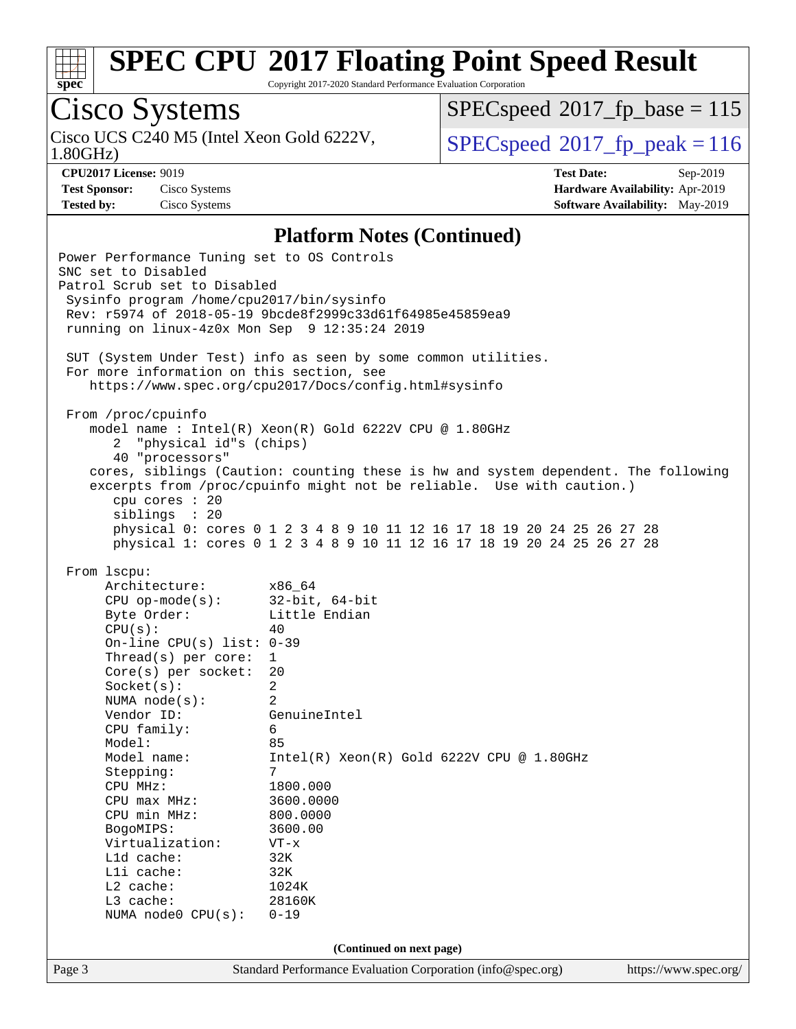

Copyright 2017-2020 Standard Performance Evaluation Corporation

# Cisco Systems

Cisco UCS C240 M5 (Intel Xeon Gold 6222V, 1.80GHz)

[SPECspeed](http://www.spec.org/auto/cpu2017/Docs/result-fields.html#SPECspeed2017fpbase)<sup>®</sup>2017 fp base = 115

[SPECspeed](http://www.spec.org/auto/cpu2017/Docs/result-fields.html#SPECspeed2017fppeak)<sup>®</sup>2017 fp peak = 116

**[Test Sponsor:](http://www.spec.org/auto/cpu2017/Docs/result-fields.html#TestSponsor)** Cisco Systems **[Hardware Availability:](http://www.spec.org/auto/cpu2017/Docs/result-fields.html#HardwareAvailability)** Apr-2019

**[CPU2017 License:](http://www.spec.org/auto/cpu2017/Docs/result-fields.html#CPU2017License)** 9019 **[Test Date:](http://www.spec.org/auto/cpu2017/Docs/result-fields.html#TestDate)** Sep-2019 **[Tested by:](http://www.spec.org/auto/cpu2017/Docs/result-fields.html#Testedby)** Cisco Systems **[Software Availability:](http://www.spec.org/auto/cpu2017/Docs/result-fields.html#SoftwareAvailability)** May-2019

#### **[Platform Notes \(Continued\)](http://www.spec.org/auto/cpu2017/Docs/result-fields.html#PlatformNotes)**

Page 3 Standard Performance Evaluation Corporation [\(info@spec.org\)](mailto:info@spec.org) <https://www.spec.org/> Power Performance Tuning set to OS Controls SNC set to Disabled Patrol Scrub set to Disabled Sysinfo program /home/cpu2017/bin/sysinfo Rev: r5974 of 2018-05-19 9bcde8f2999c33d61f64985e45859ea9 running on linux-4z0x Mon Sep 9 12:35:24 2019 SUT (System Under Test) info as seen by some common utilities. For more information on this section, see <https://www.spec.org/cpu2017/Docs/config.html#sysinfo> From /proc/cpuinfo model name : Intel(R) Xeon(R) Gold 6222V CPU @ 1.80GHz 2 "physical id"s (chips) 40 "processors" cores, siblings (Caution: counting these is hw and system dependent. The following excerpts from /proc/cpuinfo might not be reliable. Use with caution.) cpu cores : 20 siblings : 20 physical 0: cores 0 1 2 3 4 8 9 10 11 12 16 17 18 19 20 24 25 26 27 28 physical 1: cores 0 1 2 3 4 8 9 10 11 12 16 17 18 19 20 24 25 26 27 28 From lscpu: Architecture: x86\_64 CPU op-mode(s): 32-bit, 64-bit Byte Order: Little Endian  $CPU(s):$  40 On-line CPU(s) list: 0-39 Thread(s) per core: 1 Core(s) per socket: 20 Socket(s): 2 NUMA node(s): 2 Vendor ID: GenuineIntel CPU family: 6 Model: 85 Model name: Intel(R) Xeon(R) Gold 6222V CPU @ 1.80GHz Stepping: 7 CPU MHz: 1800.000 CPU max MHz: 3600.0000<br>CPU min MHz: 800.0000  $CPU$  min  $MHz$ : BogoMIPS: 3600.00 Virtualization: VT-x L1d cache: 32K L1i cache: 32K L2 cache: 1024K L3 cache: 28160K NUMA node0 CPU(s): 0-19 **(Continued on next page)**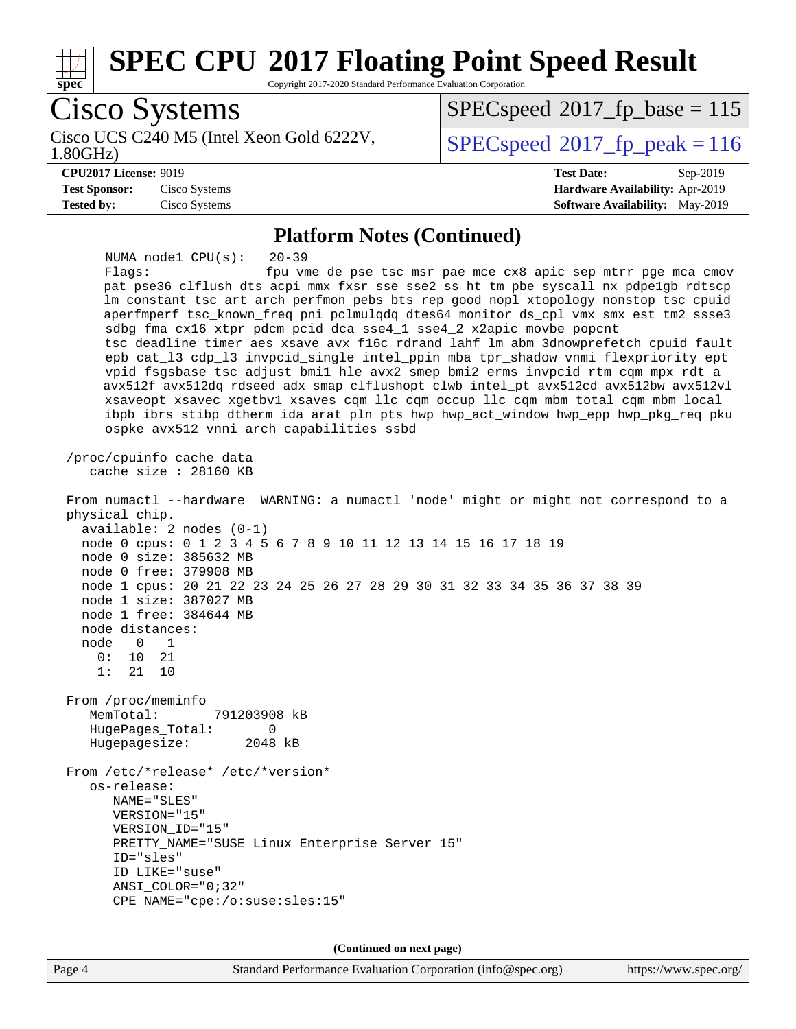

Page 4 Standard Performance Evaluation Corporation [\(info@spec.org\)](mailto:info@spec.org) <https://www.spec.org/>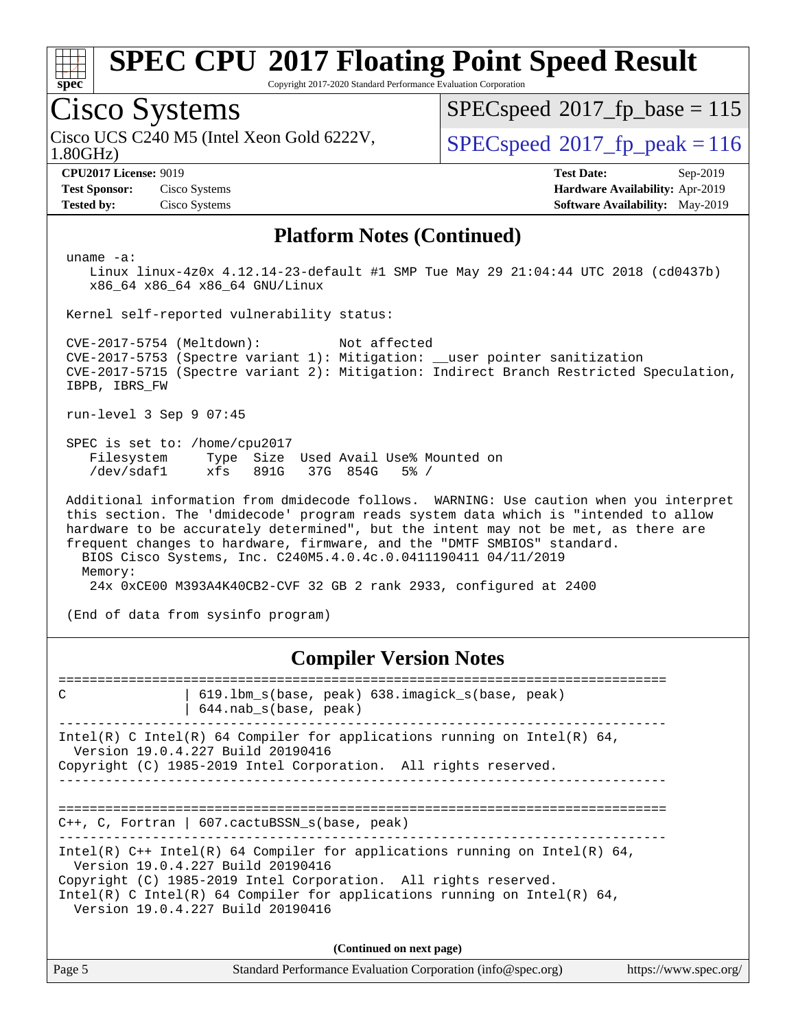

Copyright 2017-2020 Standard Performance Evaluation Corporation

### Cisco Systems

1.80GHz) Cisco UCS C240 M5 (Intel Xeon Gold 6222V,  $\vert$  [SPECspeed](http://www.spec.org/auto/cpu2017/Docs/result-fields.html#SPECspeed2017fppeak)<sup>®</sup>2017 fp\_peak = 116

[SPECspeed](http://www.spec.org/auto/cpu2017/Docs/result-fields.html#SPECspeed2017fpbase)<sup>®</sup>2017 fp base = 115

**[Test Sponsor:](http://www.spec.org/auto/cpu2017/Docs/result-fields.html#TestSponsor)** Cisco Systems **[Hardware Availability:](http://www.spec.org/auto/cpu2017/Docs/result-fields.html#HardwareAvailability)** Apr-2019

**[CPU2017 License:](http://www.spec.org/auto/cpu2017/Docs/result-fields.html#CPU2017License)** 9019 **[Test Date:](http://www.spec.org/auto/cpu2017/Docs/result-fields.html#TestDate)** Sep-2019 **[Tested by:](http://www.spec.org/auto/cpu2017/Docs/result-fields.html#Testedby)** Cisco Systems **[Software Availability:](http://www.spec.org/auto/cpu2017/Docs/result-fields.html#SoftwareAvailability)** May-2019

#### **[Platform Notes \(Continued\)](http://www.spec.org/auto/cpu2017/Docs/result-fields.html#PlatformNotes)**

uname -a:

 Linux linux-4z0x 4.12.14-23-default #1 SMP Tue May 29 21:04:44 UTC 2018 (cd0437b) x86\_64 x86\_64 x86\_64 GNU/Linux

Kernel self-reported vulnerability status:

 CVE-2017-5754 (Meltdown): Not affected CVE-2017-5753 (Spectre variant 1): Mitigation: \_\_user pointer sanitization CVE-2017-5715 (Spectre variant 2): Mitigation: Indirect Branch Restricted Speculation, IBPB, IBRS\_FW

run-level 3 Sep 9 07:45

 SPEC is set to: /home/cpu2017 Filesystem Type Size Used Avail Use% Mounted on /dev/sdaf1 xfs 891G 37G 854G 5% /

 Additional information from dmidecode follows. WARNING: Use caution when you interpret this section. The 'dmidecode' program reads system data which is "intended to allow hardware to be accurately determined", but the intent may not be met, as there are frequent changes to hardware, firmware, and the "DMTF SMBIOS" standard. BIOS Cisco Systems, Inc. C240M5.4.0.4c.0.0411190411 04/11/2019 Memory: 24x 0xCE00 M393A4K40CB2-CVF 32 GB 2 rank 2933, configured at 2400

(End of data from sysinfo program)

#### **[Compiler Version Notes](http://www.spec.org/auto/cpu2017/Docs/result-fields.html#CompilerVersionNotes)**

============================================================================== C | 619.lbm\_s(base, peak) 638.imagick\_s(base, peak) | 644.nab\_s(base, peak) ------------------------------------------------------------------------------ Intel(R) C Intel(R) 64 Compiler for applications running on Intel(R)  $64$ , Version 19.0.4.227 Build 20190416 Copyright (C) 1985-2019 Intel Corporation. All rights reserved. ------------------------------------------------------------------------------ ============================================================================== C++, C, Fortran | 607.cactuBSSN\_s(base, peak) ------------------------------------------------------------------------------ Intel(R) C++ Intel(R) 64 Compiler for applications running on Intel(R)  $64$ , Version 19.0.4.227 Build 20190416 Copyright (C) 1985-2019 Intel Corporation. All rights reserved. Intel(R) C Intel(R) 64 Compiler for applications running on Intel(R)  $64$ , Version 19.0.4.227 Build 20190416 **(Continued on next page)**

| Page 5 | Standard Performance Evaluation Corporation (info@spec.org) | https://www.spec.org/ |
|--------|-------------------------------------------------------------|-----------------------|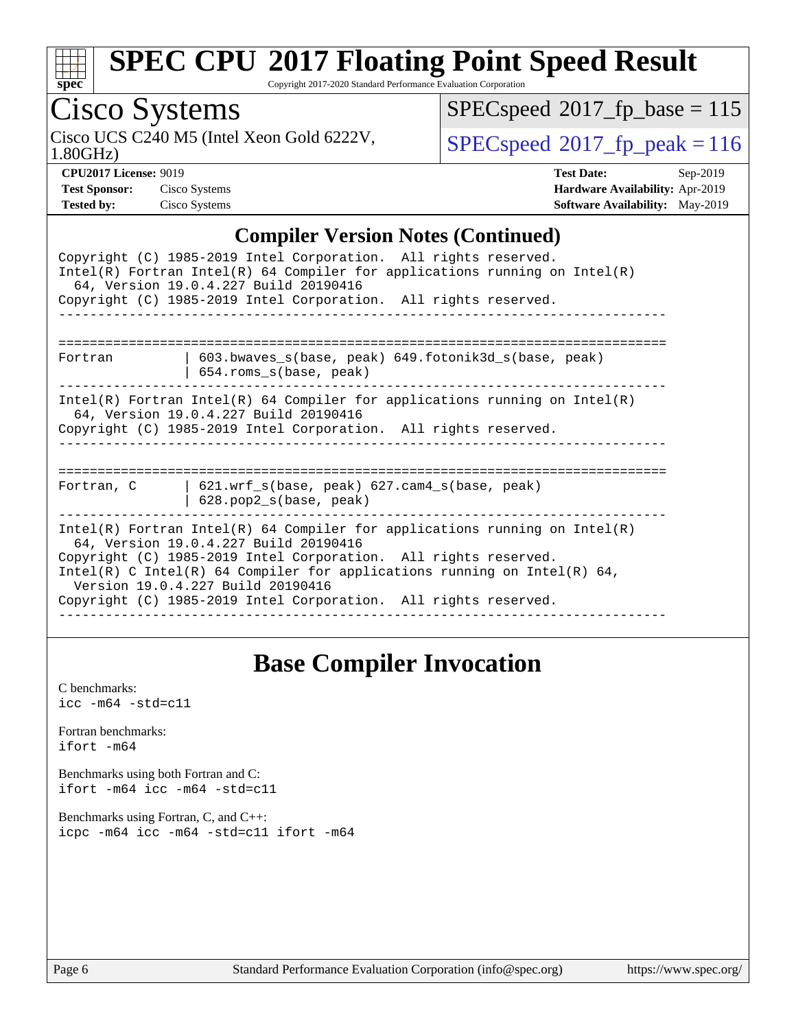| S | Dе |  |
|---|----|--|

Copyright 2017-2020 Standard Performance Evaluation Corporation

## Cisco Systems

1.80GHz) Cisco UCS C240 M5 (Intel Xeon Gold 6222V,  $SPECspeed^{\circ}2017\_fp\_peak = 116$  $SPECspeed^{\circ}2017\_fp\_peak = 116$ 

 $SPECspeed^{\circledcirc}2017_fp\_base = 115$  $SPECspeed^{\circledcirc}2017_fp\_base = 115$ 

**[CPU2017 License:](http://www.spec.org/auto/cpu2017/Docs/result-fields.html#CPU2017License)** 9019 **[Test Date:](http://www.spec.org/auto/cpu2017/Docs/result-fields.html#TestDate)** Sep-2019 **[Test Sponsor:](http://www.spec.org/auto/cpu2017/Docs/result-fields.html#TestSponsor)** Cisco Systems **[Hardware Availability:](http://www.spec.org/auto/cpu2017/Docs/result-fields.html#HardwareAvailability)** Apr-2019 **[Tested by:](http://www.spec.org/auto/cpu2017/Docs/result-fields.html#Testedby)** Cisco Systems **[Software Availability:](http://www.spec.org/auto/cpu2017/Docs/result-fields.html#SoftwareAvailability)** May-2019

### **[Compiler Version Notes \(Continued\)](http://www.spec.org/auto/cpu2017/Docs/result-fields.html#CompilerVersionNotes)**

| Complict version troics (Commucu)                                                                                                                                                                                                                                                                                                                                            |
|------------------------------------------------------------------------------------------------------------------------------------------------------------------------------------------------------------------------------------------------------------------------------------------------------------------------------------------------------------------------------|
| Copyright (C) 1985-2019 Intel Corporation. All rights reserved.<br>$Intel(R)$ Fortran Intel(R) 64 Compiler for applications running on Intel(R)<br>64, Version 19.0.4.227 Build 20190416                                                                                                                                                                                     |
| Copyright (C) 1985-2019 Intel Corporation. All rights reserved.                                                                                                                                                                                                                                                                                                              |
| 603.bwaves_s(base, peak) 649.fotonik3d_s(base, peak)<br>Fortran<br>654.roms_s(base, peak)                                                                                                                                                                                                                                                                                    |
| Intel(R) Fortran Intel(R) 64 Compiler for applications running on Intel(R)<br>64, Version 19.0.4.227 Build 20190416<br>Copyright (C) 1985-2019 Intel Corporation. All rights reserved.                                                                                                                                                                                       |
| $621.wrf_s(base, peak)$ $627.cam4_s(base, peak)$<br>Fortran, C<br>$628.$ pop2_s(base, peak)                                                                                                                                                                                                                                                                                  |
| $Intel(R)$ Fortran Intel(R) 64 Compiler for applications running on Intel(R)<br>64, Version 19.0.4.227 Build 20190416<br>Copyright (C) 1985-2019 Intel Corporation. All rights reserved.<br>Intel(R) C Intel(R) 64 Compiler for applications running on Intel(R) 64,<br>Version 19.0.4.227 Build 20190416<br>Copyright (C) 1985-2019 Intel Corporation. All rights reserved. |

### **[Base Compiler Invocation](http://www.spec.org/auto/cpu2017/Docs/result-fields.html#BaseCompilerInvocation)**

| C benchmarks:<br>$\text{icc -m64 -std=c11}$                                     |
|---------------------------------------------------------------------------------|
| Fortran benchmarks:<br>ifort -m64                                               |
| Benchmarks using both Fortran and C:<br>ifort -m64 icc -m64 -std=c11            |
| Benchmarks using Fortran, C, and C++:<br>icpc -m64 icc -m64 -std=c11 ifort -m64 |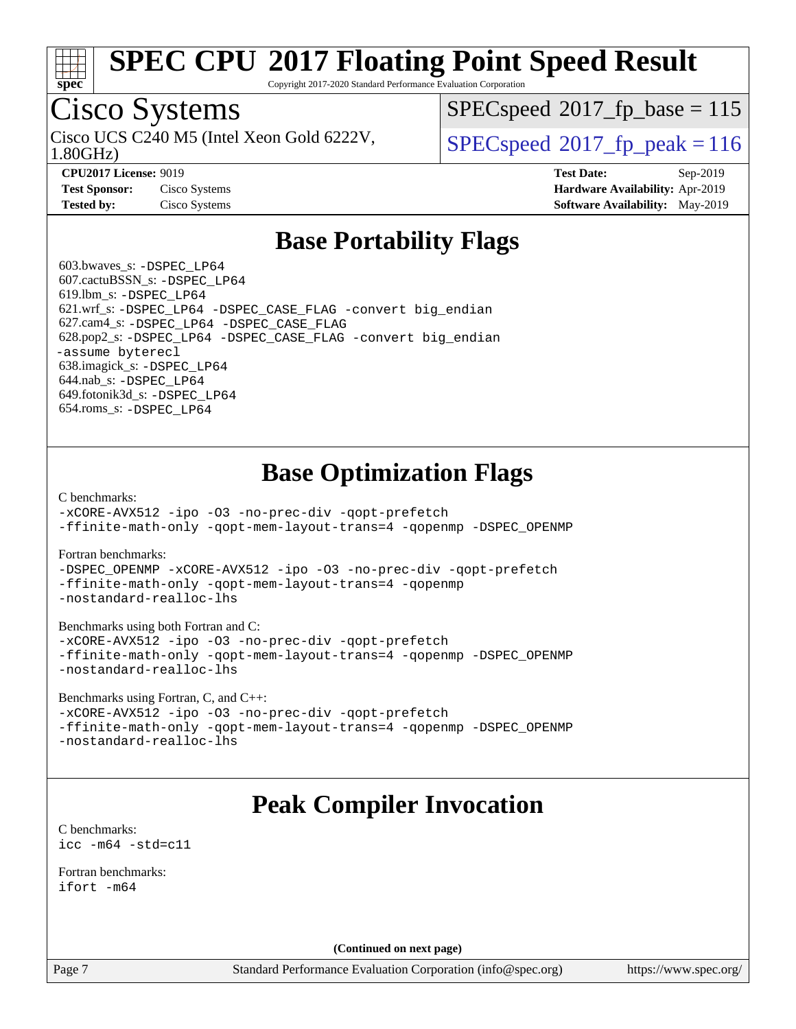

Copyright 2017-2020 Standard Performance Evaluation Corporation

# Cisco Systems

1.80GHz) Cisco UCS C240 M5 (Intel Xeon Gold 6222V,  $\vert$  [SPECspeed](http://www.spec.org/auto/cpu2017/Docs/result-fields.html#SPECspeed2017fppeak)<sup>®</sup>2017 fp\_peak = 116

[SPECspeed](http://www.spec.org/auto/cpu2017/Docs/result-fields.html#SPECspeed2017fpbase)<sup>®</sup>2017 fp base = 115

**[Test Sponsor:](http://www.spec.org/auto/cpu2017/Docs/result-fields.html#TestSponsor)** Cisco Systems **[Hardware Availability:](http://www.spec.org/auto/cpu2017/Docs/result-fields.html#HardwareAvailability)** Apr-2019 **[Tested by:](http://www.spec.org/auto/cpu2017/Docs/result-fields.html#Testedby)** Cisco Systems **[Software Availability:](http://www.spec.org/auto/cpu2017/Docs/result-fields.html#SoftwareAvailability)** May-2019

**[CPU2017 License:](http://www.spec.org/auto/cpu2017/Docs/result-fields.html#CPU2017License)** 9019 **[Test Date:](http://www.spec.org/auto/cpu2017/Docs/result-fields.html#TestDate)** Sep-2019

### **[Base Portability Flags](http://www.spec.org/auto/cpu2017/Docs/result-fields.html#BasePortabilityFlags)**

 603.bwaves\_s: [-DSPEC\\_LP64](http://www.spec.org/cpu2017/results/res2019q4/cpu2017-20190913-17844.flags.html#suite_basePORTABILITY603_bwaves_s_DSPEC_LP64) 607.cactuBSSN\_s: [-DSPEC\\_LP64](http://www.spec.org/cpu2017/results/res2019q4/cpu2017-20190913-17844.flags.html#suite_basePORTABILITY607_cactuBSSN_s_DSPEC_LP64) 619.lbm\_s: [-DSPEC\\_LP64](http://www.spec.org/cpu2017/results/res2019q4/cpu2017-20190913-17844.flags.html#suite_basePORTABILITY619_lbm_s_DSPEC_LP64) 621.wrf\_s: [-DSPEC\\_LP64](http://www.spec.org/cpu2017/results/res2019q4/cpu2017-20190913-17844.flags.html#suite_basePORTABILITY621_wrf_s_DSPEC_LP64) [-DSPEC\\_CASE\\_FLAG](http://www.spec.org/cpu2017/results/res2019q4/cpu2017-20190913-17844.flags.html#b621.wrf_s_baseCPORTABILITY_DSPEC_CASE_FLAG) [-convert big\\_endian](http://www.spec.org/cpu2017/results/res2019q4/cpu2017-20190913-17844.flags.html#user_baseFPORTABILITY621_wrf_s_convert_big_endian_c3194028bc08c63ac5d04de18c48ce6d347e4e562e8892b8bdbdc0214820426deb8554edfa529a3fb25a586e65a3d812c835984020483e7e73212c4d31a38223) 627.cam4\_s: [-DSPEC\\_LP64](http://www.spec.org/cpu2017/results/res2019q4/cpu2017-20190913-17844.flags.html#suite_basePORTABILITY627_cam4_s_DSPEC_LP64) [-DSPEC\\_CASE\\_FLAG](http://www.spec.org/cpu2017/results/res2019q4/cpu2017-20190913-17844.flags.html#b627.cam4_s_baseCPORTABILITY_DSPEC_CASE_FLAG) 628.pop2\_s: [-DSPEC\\_LP64](http://www.spec.org/cpu2017/results/res2019q4/cpu2017-20190913-17844.flags.html#suite_basePORTABILITY628_pop2_s_DSPEC_LP64) [-DSPEC\\_CASE\\_FLAG](http://www.spec.org/cpu2017/results/res2019q4/cpu2017-20190913-17844.flags.html#b628.pop2_s_baseCPORTABILITY_DSPEC_CASE_FLAG) [-convert big\\_endian](http://www.spec.org/cpu2017/results/res2019q4/cpu2017-20190913-17844.flags.html#user_baseFPORTABILITY628_pop2_s_convert_big_endian_c3194028bc08c63ac5d04de18c48ce6d347e4e562e8892b8bdbdc0214820426deb8554edfa529a3fb25a586e65a3d812c835984020483e7e73212c4d31a38223) [-assume byterecl](http://www.spec.org/cpu2017/results/res2019q4/cpu2017-20190913-17844.flags.html#user_baseFPORTABILITY628_pop2_s_assume_byterecl_7e47d18b9513cf18525430bbf0f2177aa9bf368bc7a059c09b2c06a34b53bd3447c950d3f8d6c70e3faf3a05c8557d66a5798b567902e8849adc142926523472) 638.imagick\_s: [-DSPEC\\_LP64](http://www.spec.org/cpu2017/results/res2019q4/cpu2017-20190913-17844.flags.html#suite_basePORTABILITY638_imagick_s_DSPEC_LP64) 644.nab\_s: [-DSPEC\\_LP64](http://www.spec.org/cpu2017/results/res2019q4/cpu2017-20190913-17844.flags.html#suite_basePORTABILITY644_nab_s_DSPEC_LP64) 649.fotonik3d\_s: [-DSPEC\\_LP64](http://www.spec.org/cpu2017/results/res2019q4/cpu2017-20190913-17844.flags.html#suite_basePORTABILITY649_fotonik3d_s_DSPEC_LP64) 654.roms\_s: [-DSPEC\\_LP64](http://www.spec.org/cpu2017/results/res2019q4/cpu2017-20190913-17844.flags.html#suite_basePORTABILITY654_roms_s_DSPEC_LP64)

### **[Base Optimization Flags](http://www.spec.org/auto/cpu2017/Docs/result-fields.html#BaseOptimizationFlags)**

[C benchmarks](http://www.spec.org/auto/cpu2017/Docs/result-fields.html#Cbenchmarks):

[-xCORE-AVX512](http://www.spec.org/cpu2017/results/res2019q4/cpu2017-20190913-17844.flags.html#user_CCbase_f-xCORE-AVX512) [-ipo](http://www.spec.org/cpu2017/results/res2019q4/cpu2017-20190913-17844.flags.html#user_CCbase_f-ipo) [-O3](http://www.spec.org/cpu2017/results/res2019q4/cpu2017-20190913-17844.flags.html#user_CCbase_f-O3) [-no-prec-div](http://www.spec.org/cpu2017/results/res2019q4/cpu2017-20190913-17844.flags.html#user_CCbase_f-no-prec-div) [-qopt-prefetch](http://www.spec.org/cpu2017/results/res2019q4/cpu2017-20190913-17844.flags.html#user_CCbase_f-qopt-prefetch) [-ffinite-math-only](http://www.spec.org/cpu2017/results/res2019q4/cpu2017-20190913-17844.flags.html#user_CCbase_f_finite_math_only_cb91587bd2077682c4b38af759c288ed7c732db004271a9512da14a4f8007909a5f1427ecbf1a0fb78ff2a814402c6114ac565ca162485bbcae155b5e4258871) [-qopt-mem-layout-trans=4](http://www.spec.org/cpu2017/results/res2019q4/cpu2017-20190913-17844.flags.html#user_CCbase_f-qopt-mem-layout-trans_fa39e755916c150a61361b7846f310bcdf6f04e385ef281cadf3647acec3f0ae266d1a1d22d972a7087a248fd4e6ca390a3634700869573d231a252c784941a8) [-qopenmp](http://www.spec.org/cpu2017/results/res2019q4/cpu2017-20190913-17844.flags.html#user_CCbase_qopenmp_16be0c44f24f464004c6784a7acb94aca937f053568ce72f94b139a11c7c168634a55f6653758ddd83bcf7b8463e8028bb0b48b77bcddc6b78d5d95bb1df2967) [-DSPEC\\_OPENMP](http://www.spec.org/cpu2017/results/res2019q4/cpu2017-20190913-17844.flags.html#suite_CCbase_DSPEC_OPENMP)

[Fortran benchmarks](http://www.spec.org/auto/cpu2017/Docs/result-fields.html#Fortranbenchmarks):

[-DSPEC\\_OPENMP](http://www.spec.org/cpu2017/results/res2019q4/cpu2017-20190913-17844.flags.html#suite_FCbase_DSPEC_OPENMP) [-xCORE-AVX512](http://www.spec.org/cpu2017/results/res2019q4/cpu2017-20190913-17844.flags.html#user_FCbase_f-xCORE-AVX512) [-ipo](http://www.spec.org/cpu2017/results/res2019q4/cpu2017-20190913-17844.flags.html#user_FCbase_f-ipo) [-O3](http://www.spec.org/cpu2017/results/res2019q4/cpu2017-20190913-17844.flags.html#user_FCbase_f-O3) [-no-prec-div](http://www.spec.org/cpu2017/results/res2019q4/cpu2017-20190913-17844.flags.html#user_FCbase_f-no-prec-div) [-qopt-prefetch](http://www.spec.org/cpu2017/results/res2019q4/cpu2017-20190913-17844.flags.html#user_FCbase_f-qopt-prefetch) [-ffinite-math-only](http://www.spec.org/cpu2017/results/res2019q4/cpu2017-20190913-17844.flags.html#user_FCbase_f_finite_math_only_cb91587bd2077682c4b38af759c288ed7c732db004271a9512da14a4f8007909a5f1427ecbf1a0fb78ff2a814402c6114ac565ca162485bbcae155b5e4258871) [-qopt-mem-layout-trans=4](http://www.spec.org/cpu2017/results/res2019q4/cpu2017-20190913-17844.flags.html#user_FCbase_f-qopt-mem-layout-trans_fa39e755916c150a61361b7846f310bcdf6f04e385ef281cadf3647acec3f0ae266d1a1d22d972a7087a248fd4e6ca390a3634700869573d231a252c784941a8) [-qopenmp](http://www.spec.org/cpu2017/results/res2019q4/cpu2017-20190913-17844.flags.html#user_FCbase_qopenmp_16be0c44f24f464004c6784a7acb94aca937f053568ce72f94b139a11c7c168634a55f6653758ddd83bcf7b8463e8028bb0b48b77bcddc6b78d5d95bb1df2967) [-nostandard-realloc-lhs](http://www.spec.org/cpu2017/results/res2019q4/cpu2017-20190913-17844.flags.html#user_FCbase_f_2003_std_realloc_82b4557e90729c0f113870c07e44d33d6f5a304b4f63d4c15d2d0f1fab99f5daaed73bdb9275d9ae411527f28b936061aa8b9c8f2d63842963b95c9dd6426b8a)

[Benchmarks using both Fortran and C](http://www.spec.org/auto/cpu2017/Docs/result-fields.html#BenchmarksusingbothFortranandC):

[-xCORE-AVX512](http://www.spec.org/cpu2017/results/res2019q4/cpu2017-20190913-17844.flags.html#user_CC_FCbase_f-xCORE-AVX512) [-ipo](http://www.spec.org/cpu2017/results/res2019q4/cpu2017-20190913-17844.flags.html#user_CC_FCbase_f-ipo) [-O3](http://www.spec.org/cpu2017/results/res2019q4/cpu2017-20190913-17844.flags.html#user_CC_FCbase_f-O3) [-no-prec-div](http://www.spec.org/cpu2017/results/res2019q4/cpu2017-20190913-17844.flags.html#user_CC_FCbase_f-no-prec-div) [-qopt-prefetch](http://www.spec.org/cpu2017/results/res2019q4/cpu2017-20190913-17844.flags.html#user_CC_FCbase_f-qopt-prefetch) [-ffinite-math-only](http://www.spec.org/cpu2017/results/res2019q4/cpu2017-20190913-17844.flags.html#user_CC_FCbase_f_finite_math_only_cb91587bd2077682c4b38af759c288ed7c732db004271a9512da14a4f8007909a5f1427ecbf1a0fb78ff2a814402c6114ac565ca162485bbcae155b5e4258871) [-qopt-mem-layout-trans=4](http://www.spec.org/cpu2017/results/res2019q4/cpu2017-20190913-17844.flags.html#user_CC_FCbase_f-qopt-mem-layout-trans_fa39e755916c150a61361b7846f310bcdf6f04e385ef281cadf3647acec3f0ae266d1a1d22d972a7087a248fd4e6ca390a3634700869573d231a252c784941a8) [-qopenmp](http://www.spec.org/cpu2017/results/res2019q4/cpu2017-20190913-17844.flags.html#user_CC_FCbase_qopenmp_16be0c44f24f464004c6784a7acb94aca937f053568ce72f94b139a11c7c168634a55f6653758ddd83bcf7b8463e8028bb0b48b77bcddc6b78d5d95bb1df2967) [-DSPEC\\_OPENMP](http://www.spec.org/cpu2017/results/res2019q4/cpu2017-20190913-17844.flags.html#suite_CC_FCbase_DSPEC_OPENMP) [-nostandard-realloc-lhs](http://www.spec.org/cpu2017/results/res2019q4/cpu2017-20190913-17844.flags.html#user_CC_FCbase_f_2003_std_realloc_82b4557e90729c0f113870c07e44d33d6f5a304b4f63d4c15d2d0f1fab99f5daaed73bdb9275d9ae411527f28b936061aa8b9c8f2d63842963b95c9dd6426b8a)

[Benchmarks using Fortran, C, and C++:](http://www.spec.org/auto/cpu2017/Docs/result-fields.html#BenchmarksusingFortranCandCXX)

[-xCORE-AVX512](http://www.spec.org/cpu2017/results/res2019q4/cpu2017-20190913-17844.flags.html#user_CC_CXX_FCbase_f-xCORE-AVX512) [-ipo](http://www.spec.org/cpu2017/results/res2019q4/cpu2017-20190913-17844.flags.html#user_CC_CXX_FCbase_f-ipo) [-O3](http://www.spec.org/cpu2017/results/res2019q4/cpu2017-20190913-17844.flags.html#user_CC_CXX_FCbase_f-O3) [-no-prec-div](http://www.spec.org/cpu2017/results/res2019q4/cpu2017-20190913-17844.flags.html#user_CC_CXX_FCbase_f-no-prec-div) [-qopt-prefetch](http://www.spec.org/cpu2017/results/res2019q4/cpu2017-20190913-17844.flags.html#user_CC_CXX_FCbase_f-qopt-prefetch) [-ffinite-math-only](http://www.spec.org/cpu2017/results/res2019q4/cpu2017-20190913-17844.flags.html#user_CC_CXX_FCbase_f_finite_math_only_cb91587bd2077682c4b38af759c288ed7c732db004271a9512da14a4f8007909a5f1427ecbf1a0fb78ff2a814402c6114ac565ca162485bbcae155b5e4258871) [-qopt-mem-layout-trans=4](http://www.spec.org/cpu2017/results/res2019q4/cpu2017-20190913-17844.flags.html#user_CC_CXX_FCbase_f-qopt-mem-layout-trans_fa39e755916c150a61361b7846f310bcdf6f04e385ef281cadf3647acec3f0ae266d1a1d22d972a7087a248fd4e6ca390a3634700869573d231a252c784941a8) [-qopenmp](http://www.spec.org/cpu2017/results/res2019q4/cpu2017-20190913-17844.flags.html#user_CC_CXX_FCbase_qopenmp_16be0c44f24f464004c6784a7acb94aca937f053568ce72f94b139a11c7c168634a55f6653758ddd83bcf7b8463e8028bb0b48b77bcddc6b78d5d95bb1df2967) [-DSPEC\\_OPENMP](http://www.spec.org/cpu2017/results/res2019q4/cpu2017-20190913-17844.flags.html#suite_CC_CXX_FCbase_DSPEC_OPENMP) [-nostandard-realloc-lhs](http://www.spec.org/cpu2017/results/res2019q4/cpu2017-20190913-17844.flags.html#user_CC_CXX_FCbase_f_2003_std_realloc_82b4557e90729c0f113870c07e44d33d6f5a304b4f63d4c15d2d0f1fab99f5daaed73bdb9275d9ae411527f28b936061aa8b9c8f2d63842963b95c9dd6426b8a)

### **[Peak Compiler Invocation](http://www.spec.org/auto/cpu2017/Docs/result-fields.html#PeakCompilerInvocation)**

[C benchmarks](http://www.spec.org/auto/cpu2017/Docs/result-fields.html#Cbenchmarks): [icc -m64 -std=c11](http://www.spec.org/cpu2017/results/res2019q4/cpu2017-20190913-17844.flags.html#user_CCpeak_intel_icc_64bit_c11_33ee0cdaae7deeeab2a9725423ba97205ce30f63b9926c2519791662299b76a0318f32ddfffdc46587804de3178b4f9328c46fa7c2b0cd779d7a61945c91cd35)

[Fortran benchmarks](http://www.spec.org/auto/cpu2017/Docs/result-fields.html#Fortranbenchmarks): [ifort -m64](http://www.spec.org/cpu2017/results/res2019q4/cpu2017-20190913-17844.flags.html#user_FCpeak_intel_ifort_64bit_24f2bb282fbaeffd6157abe4f878425411749daecae9a33200eee2bee2fe76f3b89351d69a8130dd5949958ce389cf37ff59a95e7a40d588e8d3a57e0c3fd751)

**(Continued on next page)**

Page 7 Standard Performance Evaluation Corporation [\(info@spec.org\)](mailto:info@spec.org) <https://www.spec.org/>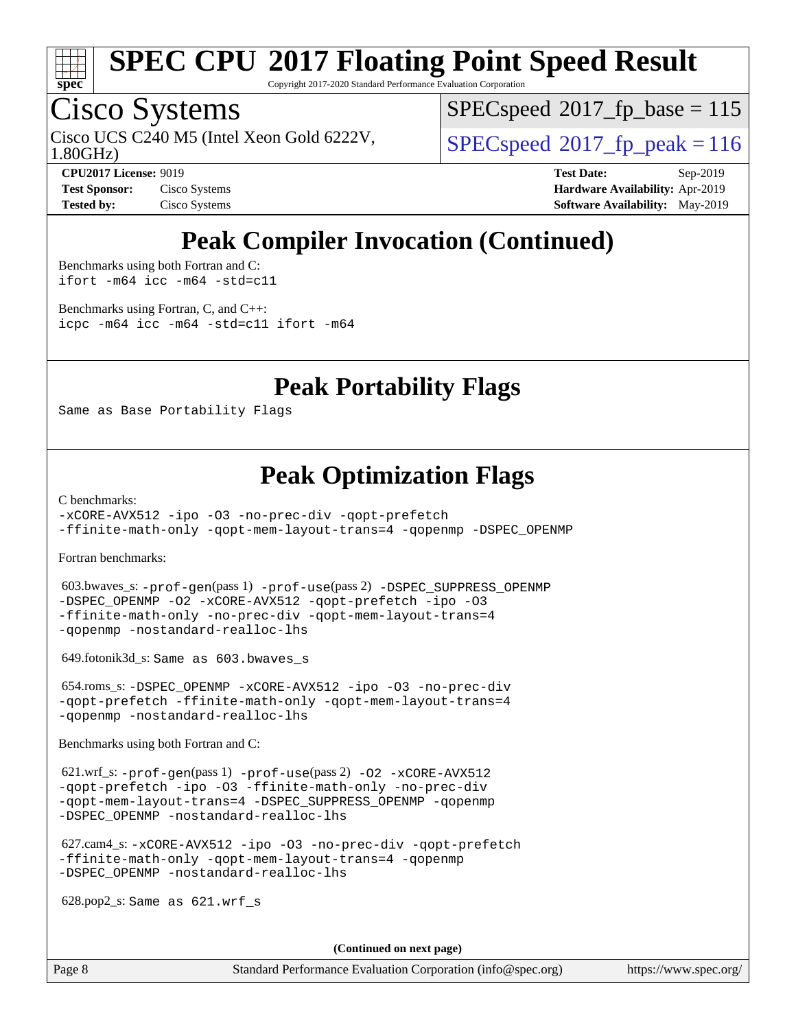

Copyright 2017-2020 Standard Performance Evaluation Corporation

# Cisco Systems

1.80GHz) Cisco UCS C240 M5 (Intel Xeon Gold 6222V,  $\vert$  [SPECspeed](http://www.spec.org/auto/cpu2017/Docs/result-fields.html#SPECspeed2017fppeak)<sup>®</sup>2017 fp\_peak = 116

[SPECspeed](http://www.spec.org/auto/cpu2017/Docs/result-fields.html#SPECspeed2017fpbase)<sup>®</sup>2017 fp base = 115

**[Test Sponsor:](http://www.spec.org/auto/cpu2017/Docs/result-fields.html#TestSponsor)** Cisco Systems **[Hardware Availability:](http://www.spec.org/auto/cpu2017/Docs/result-fields.html#HardwareAvailability)** Apr-2019

**[CPU2017 License:](http://www.spec.org/auto/cpu2017/Docs/result-fields.html#CPU2017License)** 9019 **[Test Date:](http://www.spec.org/auto/cpu2017/Docs/result-fields.html#TestDate)** Sep-2019 **[Tested by:](http://www.spec.org/auto/cpu2017/Docs/result-fields.html#Testedby)** Cisco Systems **[Software Availability:](http://www.spec.org/auto/cpu2017/Docs/result-fields.html#SoftwareAvailability)** May-2019

### **[Peak Compiler Invocation \(Continued\)](http://www.spec.org/auto/cpu2017/Docs/result-fields.html#PeakCompilerInvocation)**

[Benchmarks using both Fortran and C](http://www.spec.org/auto/cpu2017/Docs/result-fields.html#BenchmarksusingbothFortranandC): [ifort -m64](http://www.spec.org/cpu2017/results/res2019q4/cpu2017-20190913-17844.flags.html#user_CC_FCpeak_intel_ifort_64bit_24f2bb282fbaeffd6157abe4f878425411749daecae9a33200eee2bee2fe76f3b89351d69a8130dd5949958ce389cf37ff59a95e7a40d588e8d3a57e0c3fd751) [icc -m64 -std=c11](http://www.spec.org/cpu2017/results/res2019q4/cpu2017-20190913-17844.flags.html#user_CC_FCpeak_intel_icc_64bit_c11_33ee0cdaae7deeeab2a9725423ba97205ce30f63b9926c2519791662299b76a0318f32ddfffdc46587804de3178b4f9328c46fa7c2b0cd779d7a61945c91cd35)

[Benchmarks using Fortran, C, and C++:](http://www.spec.org/auto/cpu2017/Docs/result-fields.html#BenchmarksusingFortranCandCXX) [icpc -m64](http://www.spec.org/cpu2017/results/res2019q4/cpu2017-20190913-17844.flags.html#user_CC_CXX_FCpeak_intel_icpc_64bit_4ecb2543ae3f1412ef961e0650ca070fec7b7afdcd6ed48761b84423119d1bf6bdf5cad15b44d48e7256388bc77273b966e5eb805aefd121eb22e9299b2ec9d9) [icc -m64 -std=c11](http://www.spec.org/cpu2017/results/res2019q4/cpu2017-20190913-17844.flags.html#user_CC_CXX_FCpeak_intel_icc_64bit_c11_33ee0cdaae7deeeab2a9725423ba97205ce30f63b9926c2519791662299b76a0318f32ddfffdc46587804de3178b4f9328c46fa7c2b0cd779d7a61945c91cd35) [ifort -m64](http://www.spec.org/cpu2017/results/res2019q4/cpu2017-20190913-17844.flags.html#user_CC_CXX_FCpeak_intel_ifort_64bit_24f2bb282fbaeffd6157abe4f878425411749daecae9a33200eee2bee2fe76f3b89351d69a8130dd5949958ce389cf37ff59a95e7a40d588e8d3a57e0c3fd751)

### **[Peak Portability Flags](http://www.spec.org/auto/cpu2017/Docs/result-fields.html#PeakPortabilityFlags)**

Same as Base Portability Flags

### **[Peak Optimization Flags](http://www.spec.org/auto/cpu2017/Docs/result-fields.html#PeakOptimizationFlags)**

[C benchmarks](http://www.spec.org/auto/cpu2017/Docs/result-fields.html#Cbenchmarks):

[-xCORE-AVX512](http://www.spec.org/cpu2017/results/res2019q4/cpu2017-20190913-17844.flags.html#user_CCpeak_f-xCORE-AVX512) [-ipo](http://www.spec.org/cpu2017/results/res2019q4/cpu2017-20190913-17844.flags.html#user_CCpeak_f-ipo) [-O3](http://www.spec.org/cpu2017/results/res2019q4/cpu2017-20190913-17844.flags.html#user_CCpeak_f-O3) [-no-prec-div](http://www.spec.org/cpu2017/results/res2019q4/cpu2017-20190913-17844.flags.html#user_CCpeak_f-no-prec-div) [-qopt-prefetch](http://www.spec.org/cpu2017/results/res2019q4/cpu2017-20190913-17844.flags.html#user_CCpeak_f-qopt-prefetch) [-ffinite-math-only](http://www.spec.org/cpu2017/results/res2019q4/cpu2017-20190913-17844.flags.html#user_CCpeak_f_finite_math_only_cb91587bd2077682c4b38af759c288ed7c732db004271a9512da14a4f8007909a5f1427ecbf1a0fb78ff2a814402c6114ac565ca162485bbcae155b5e4258871) [-qopt-mem-layout-trans=4](http://www.spec.org/cpu2017/results/res2019q4/cpu2017-20190913-17844.flags.html#user_CCpeak_f-qopt-mem-layout-trans_fa39e755916c150a61361b7846f310bcdf6f04e385ef281cadf3647acec3f0ae266d1a1d22d972a7087a248fd4e6ca390a3634700869573d231a252c784941a8) [-qopenmp](http://www.spec.org/cpu2017/results/res2019q4/cpu2017-20190913-17844.flags.html#user_CCpeak_qopenmp_16be0c44f24f464004c6784a7acb94aca937f053568ce72f94b139a11c7c168634a55f6653758ddd83bcf7b8463e8028bb0b48b77bcddc6b78d5d95bb1df2967) [-DSPEC\\_OPENMP](http://www.spec.org/cpu2017/results/res2019q4/cpu2017-20190913-17844.flags.html#suite_CCpeak_DSPEC_OPENMP)

[Fortran benchmarks](http://www.spec.org/auto/cpu2017/Docs/result-fields.html#Fortranbenchmarks):

 603.bwaves\_s: [-prof-gen](http://www.spec.org/cpu2017/results/res2019q4/cpu2017-20190913-17844.flags.html#user_peakPASS1_FFLAGSPASS1_LDFLAGS603_bwaves_s_prof_gen_5aa4926d6013ddb2a31985c654b3eb18169fc0c6952a63635c234f711e6e63dd76e94ad52365559451ec499a2cdb89e4dc58ba4c67ef54ca681ffbe1461d6b36)(pass 1) [-prof-use](http://www.spec.org/cpu2017/results/res2019q4/cpu2017-20190913-17844.flags.html#user_peakPASS2_FFLAGSPASS2_LDFLAGS603_bwaves_s_prof_use_1a21ceae95f36a2b53c25747139a6c16ca95bd9def2a207b4f0849963b97e94f5260e30a0c64f4bb623698870e679ca08317ef8150905d41bd88c6f78df73f19)(pass 2) [-DSPEC\\_SUPPRESS\\_OPENMP](http://www.spec.org/cpu2017/results/res2019q4/cpu2017-20190913-17844.flags.html#suite_peakPASS1_FOPTIMIZE603_bwaves_s_DSPEC_SUPPRESS_OPENMP) [-DSPEC\\_OPENMP](http://www.spec.org/cpu2017/results/res2019q4/cpu2017-20190913-17844.flags.html#suite_peakPASS2_FOPTIMIZE603_bwaves_s_DSPEC_OPENMP) [-O2](http://www.spec.org/cpu2017/results/res2019q4/cpu2017-20190913-17844.flags.html#user_peakPASS1_FOPTIMIZE603_bwaves_s_f-O2) [-xCORE-AVX512](http://www.spec.org/cpu2017/results/res2019q4/cpu2017-20190913-17844.flags.html#user_peakPASS2_FOPTIMIZE603_bwaves_s_f-xCORE-AVX512) [-qopt-prefetch](http://www.spec.org/cpu2017/results/res2019q4/cpu2017-20190913-17844.flags.html#user_peakPASS1_FOPTIMIZEPASS2_FOPTIMIZE603_bwaves_s_f-qopt-prefetch) [-ipo](http://www.spec.org/cpu2017/results/res2019q4/cpu2017-20190913-17844.flags.html#user_peakPASS2_FOPTIMIZE603_bwaves_s_f-ipo) [-O3](http://www.spec.org/cpu2017/results/res2019q4/cpu2017-20190913-17844.flags.html#user_peakPASS2_FOPTIMIZE603_bwaves_s_f-O3) [-ffinite-math-only](http://www.spec.org/cpu2017/results/res2019q4/cpu2017-20190913-17844.flags.html#user_peakPASS1_FOPTIMIZEPASS2_FOPTIMIZE603_bwaves_s_f_finite_math_only_cb91587bd2077682c4b38af759c288ed7c732db004271a9512da14a4f8007909a5f1427ecbf1a0fb78ff2a814402c6114ac565ca162485bbcae155b5e4258871) [-no-prec-div](http://www.spec.org/cpu2017/results/res2019q4/cpu2017-20190913-17844.flags.html#user_peakPASS2_FOPTIMIZE603_bwaves_s_f-no-prec-div) [-qopt-mem-layout-trans=4](http://www.spec.org/cpu2017/results/res2019q4/cpu2017-20190913-17844.flags.html#user_peakPASS1_FOPTIMIZEPASS2_FOPTIMIZE603_bwaves_s_f-qopt-mem-layout-trans_fa39e755916c150a61361b7846f310bcdf6f04e385ef281cadf3647acec3f0ae266d1a1d22d972a7087a248fd4e6ca390a3634700869573d231a252c784941a8) [-qopenmp](http://www.spec.org/cpu2017/results/res2019q4/cpu2017-20190913-17844.flags.html#user_peakPASS2_FOPTIMIZE603_bwaves_s_qopenmp_16be0c44f24f464004c6784a7acb94aca937f053568ce72f94b139a11c7c168634a55f6653758ddd83bcf7b8463e8028bb0b48b77bcddc6b78d5d95bb1df2967) [-nostandard-realloc-lhs](http://www.spec.org/cpu2017/results/res2019q4/cpu2017-20190913-17844.flags.html#user_peakEXTRA_FOPTIMIZE603_bwaves_s_f_2003_std_realloc_82b4557e90729c0f113870c07e44d33d6f5a304b4f63d4c15d2d0f1fab99f5daaed73bdb9275d9ae411527f28b936061aa8b9c8f2d63842963b95c9dd6426b8a)

649.fotonik3d\_s: Same as 603.bwaves\_s

 654.roms\_s: [-DSPEC\\_OPENMP](http://www.spec.org/cpu2017/results/res2019q4/cpu2017-20190913-17844.flags.html#suite_peakFOPTIMIZE654_roms_s_DSPEC_OPENMP) [-xCORE-AVX512](http://www.spec.org/cpu2017/results/res2019q4/cpu2017-20190913-17844.flags.html#user_peakFOPTIMIZE654_roms_s_f-xCORE-AVX512) [-ipo](http://www.spec.org/cpu2017/results/res2019q4/cpu2017-20190913-17844.flags.html#user_peakFOPTIMIZE654_roms_s_f-ipo) [-O3](http://www.spec.org/cpu2017/results/res2019q4/cpu2017-20190913-17844.flags.html#user_peakFOPTIMIZE654_roms_s_f-O3) [-no-prec-div](http://www.spec.org/cpu2017/results/res2019q4/cpu2017-20190913-17844.flags.html#user_peakFOPTIMIZE654_roms_s_f-no-prec-div) [-qopt-prefetch](http://www.spec.org/cpu2017/results/res2019q4/cpu2017-20190913-17844.flags.html#user_peakFOPTIMIZE654_roms_s_f-qopt-prefetch) [-ffinite-math-only](http://www.spec.org/cpu2017/results/res2019q4/cpu2017-20190913-17844.flags.html#user_peakFOPTIMIZE654_roms_s_f_finite_math_only_cb91587bd2077682c4b38af759c288ed7c732db004271a9512da14a4f8007909a5f1427ecbf1a0fb78ff2a814402c6114ac565ca162485bbcae155b5e4258871) [-qopt-mem-layout-trans=4](http://www.spec.org/cpu2017/results/res2019q4/cpu2017-20190913-17844.flags.html#user_peakFOPTIMIZE654_roms_s_f-qopt-mem-layout-trans_fa39e755916c150a61361b7846f310bcdf6f04e385ef281cadf3647acec3f0ae266d1a1d22d972a7087a248fd4e6ca390a3634700869573d231a252c784941a8) [-qopenmp](http://www.spec.org/cpu2017/results/res2019q4/cpu2017-20190913-17844.flags.html#user_peakFOPTIMIZE654_roms_s_qopenmp_16be0c44f24f464004c6784a7acb94aca937f053568ce72f94b139a11c7c168634a55f6653758ddd83bcf7b8463e8028bb0b48b77bcddc6b78d5d95bb1df2967) [-nostandard-realloc-lhs](http://www.spec.org/cpu2017/results/res2019q4/cpu2017-20190913-17844.flags.html#user_peakEXTRA_FOPTIMIZE654_roms_s_f_2003_std_realloc_82b4557e90729c0f113870c07e44d33d6f5a304b4f63d4c15d2d0f1fab99f5daaed73bdb9275d9ae411527f28b936061aa8b9c8f2d63842963b95c9dd6426b8a)

[Benchmarks using both Fortran and C](http://www.spec.org/auto/cpu2017/Docs/result-fields.html#BenchmarksusingbothFortranandC):

 621.wrf\_s: [-prof-gen](http://www.spec.org/cpu2017/results/res2019q4/cpu2017-20190913-17844.flags.html#user_peakPASS1_CFLAGSPASS1_FFLAGSPASS1_LDFLAGS621_wrf_s_prof_gen_5aa4926d6013ddb2a31985c654b3eb18169fc0c6952a63635c234f711e6e63dd76e94ad52365559451ec499a2cdb89e4dc58ba4c67ef54ca681ffbe1461d6b36)(pass 1) [-prof-use](http://www.spec.org/cpu2017/results/res2019q4/cpu2017-20190913-17844.flags.html#user_peakPASS2_CFLAGSPASS2_FFLAGSPASS2_LDFLAGS621_wrf_s_prof_use_1a21ceae95f36a2b53c25747139a6c16ca95bd9def2a207b4f0849963b97e94f5260e30a0c64f4bb623698870e679ca08317ef8150905d41bd88c6f78df73f19)(pass 2) [-O2](http://www.spec.org/cpu2017/results/res2019q4/cpu2017-20190913-17844.flags.html#user_peakPASS1_COPTIMIZEPASS1_FOPTIMIZE621_wrf_s_f-O2) [-xCORE-AVX512](http://www.spec.org/cpu2017/results/res2019q4/cpu2017-20190913-17844.flags.html#user_peakPASS2_COPTIMIZEPASS2_FOPTIMIZE621_wrf_s_f-xCORE-AVX512) [-qopt-prefetch](http://www.spec.org/cpu2017/results/res2019q4/cpu2017-20190913-17844.flags.html#user_peakPASS1_COPTIMIZEPASS1_FOPTIMIZEPASS2_COPTIMIZEPASS2_FOPTIMIZE621_wrf_s_f-qopt-prefetch) [-ipo](http://www.spec.org/cpu2017/results/res2019q4/cpu2017-20190913-17844.flags.html#user_peakPASS2_COPTIMIZEPASS2_FOPTIMIZE621_wrf_s_f-ipo) [-O3](http://www.spec.org/cpu2017/results/res2019q4/cpu2017-20190913-17844.flags.html#user_peakPASS2_COPTIMIZEPASS2_FOPTIMIZE621_wrf_s_f-O3) [-ffinite-math-only](http://www.spec.org/cpu2017/results/res2019q4/cpu2017-20190913-17844.flags.html#user_peakPASS1_COPTIMIZEPASS1_FOPTIMIZEPASS2_COPTIMIZEPASS2_FOPTIMIZE621_wrf_s_f_finite_math_only_cb91587bd2077682c4b38af759c288ed7c732db004271a9512da14a4f8007909a5f1427ecbf1a0fb78ff2a814402c6114ac565ca162485bbcae155b5e4258871) [-no-prec-div](http://www.spec.org/cpu2017/results/res2019q4/cpu2017-20190913-17844.flags.html#user_peakPASS2_COPTIMIZEPASS2_FOPTIMIZE621_wrf_s_f-no-prec-div) [-qopt-mem-layout-trans=4](http://www.spec.org/cpu2017/results/res2019q4/cpu2017-20190913-17844.flags.html#user_peakPASS1_COPTIMIZEPASS1_FOPTIMIZEPASS2_COPTIMIZEPASS2_FOPTIMIZE621_wrf_s_f-qopt-mem-layout-trans_fa39e755916c150a61361b7846f310bcdf6f04e385ef281cadf3647acec3f0ae266d1a1d22d972a7087a248fd4e6ca390a3634700869573d231a252c784941a8) [-DSPEC\\_SUPPRESS\\_OPENMP](http://www.spec.org/cpu2017/results/res2019q4/cpu2017-20190913-17844.flags.html#suite_peakPASS1_COPTIMIZEPASS1_FOPTIMIZE621_wrf_s_DSPEC_SUPPRESS_OPENMP) [-qopenmp](http://www.spec.org/cpu2017/results/res2019q4/cpu2017-20190913-17844.flags.html#user_peakPASS2_COPTIMIZEPASS2_FOPTIMIZE621_wrf_s_qopenmp_16be0c44f24f464004c6784a7acb94aca937f053568ce72f94b139a11c7c168634a55f6653758ddd83bcf7b8463e8028bb0b48b77bcddc6b78d5d95bb1df2967) [-DSPEC\\_OPENMP](http://www.spec.org/cpu2017/results/res2019q4/cpu2017-20190913-17844.flags.html#suite_peakPASS2_COPTIMIZEPASS2_FOPTIMIZE621_wrf_s_DSPEC_OPENMP) [-nostandard-realloc-lhs](http://www.spec.org/cpu2017/results/res2019q4/cpu2017-20190913-17844.flags.html#user_peakEXTRA_FOPTIMIZE621_wrf_s_f_2003_std_realloc_82b4557e90729c0f113870c07e44d33d6f5a304b4f63d4c15d2d0f1fab99f5daaed73bdb9275d9ae411527f28b936061aa8b9c8f2d63842963b95c9dd6426b8a)

 627.cam4\_s: [-xCORE-AVX512](http://www.spec.org/cpu2017/results/res2019q4/cpu2017-20190913-17844.flags.html#user_peakCOPTIMIZEFOPTIMIZE627_cam4_s_f-xCORE-AVX512) [-ipo](http://www.spec.org/cpu2017/results/res2019q4/cpu2017-20190913-17844.flags.html#user_peakCOPTIMIZEFOPTIMIZE627_cam4_s_f-ipo) [-O3](http://www.spec.org/cpu2017/results/res2019q4/cpu2017-20190913-17844.flags.html#user_peakCOPTIMIZEFOPTIMIZE627_cam4_s_f-O3) [-no-prec-div](http://www.spec.org/cpu2017/results/res2019q4/cpu2017-20190913-17844.flags.html#user_peakCOPTIMIZEFOPTIMIZE627_cam4_s_f-no-prec-div) [-qopt-prefetch](http://www.spec.org/cpu2017/results/res2019q4/cpu2017-20190913-17844.flags.html#user_peakCOPTIMIZEFOPTIMIZE627_cam4_s_f-qopt-prefetch) [-ffinite-math-only](http://www.spec.org/cpu2017/results/res2019q4/cpu2017-20190913-17844.flags.html#user_peakCOPTIMIZEFOPTIMIZE627_cam4_s_f_finite_math_only_cb91587bd2077682c4b38af759c288ed7c732db004271a9512da14a4f8007909a5f1427ecbf1a0fb78ff2a814402c6114ac565ca162485bbcae155b5e4258871) [-qopt-mem-layout-trans=4](http://www.spec.org/cpu2017/results/res2019q4/cpu2017-20190913-17844.flags.html#user_peakCOPTIMIZEFOPTIMIZE627_cam4_s_f-qopt-mem-layout-trans_fa39e755916c150a61361b7846f310bcdf6f04e385ef281cadf3647acec3f0ae266d1a1d22d972a7087a248fd4e6ca390a3634700869573d231a252c784941a8) [-qopenmp](http://www.spec.org/cpu2017/results/res2019q4/cpu2017-20190913-17844.flags.html#user_peakCOPTIMIZEFOPTIMIZE627_cam4_s_qopenmp_16be0c44f24f464004c6784a7acb94aca937f053568ce72f94b139a11c7c168634a55f6653758ddd83bcf7b8463e8028bb0b48b77bcddc6b78d5d95bb1df2967) [-DSPEC\\_OPENMP](http://www.spec.org/cpu2017/results/res2019q4/cpu2017-20190913-17844.flags.html#suite_peakCOPTIMIZEFOPTIMIZE627_cam4_s_DSPEC_OPENMP) [-nostandard-realloc-lhs](http://www.spec.org/cpu2017/results/res2019q4/cpu2017-20190913-17844.flags.html#user_peakEXTRA_FOPTIMIZE627_cam4_s_f_2003_std_realloc_82b4557e90729c0f113870c07e44d33d6f5a304b4f63d4c15d2d0f1fab99f5daaed73bdb9275d9ae411527f28b936061aa8b9c8f2d63842963b95c9dd6426b8a)

628.pop2\_s: Same as 621.wrf\_s

**(Continued on next page)**